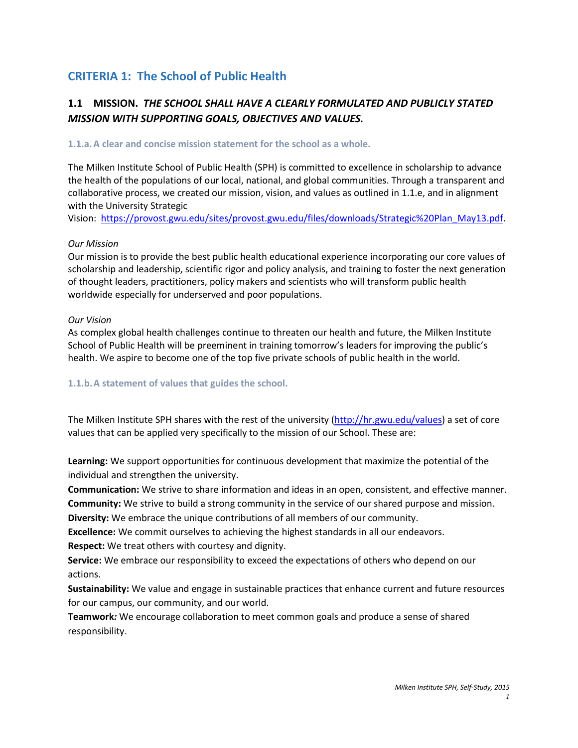# **CRITERIA 1: The School of Public Health**

## **1.1 MISSION.** *THE SCHOOL SHALL HAVE A CLEARLY FORMULATED AND PUBLICLY STATED MISSION WITH SUPPORTING GOALS, OBJECTIVES AND VALUES.*

#### **1.1.a.A clear and concise mission statement for the school as a whole.**

The Milken Institute School of Public Health (SPH) is committed to excellence in scholarship to advance the health of the populations of our local, national, and global communities. Through a transparent and collaborative process, we created our mission, vision, and values as outlined in 1.1.e, and in alignment with the University Strategic

Vision: [https://provost.gwu.edu/sites/provost.gwu.edu/files/downloads/Strategic%20Plan\\_May13.pdf.](https://provost.gwu.edu/sites/provost.gwu.edu/files/downloads/Strategic%20Plan_May13.pdf)

#### *Our Mission*

Our mission is to provide the best public health educational experience incorporating our core values of scholarship and leadership, scientific rigor and policy analysis, and training to foster the next generation of thought leaders, practitioners, policy makers and scientists who will transform public health worldwide especially for underserved and poor populations.

#### *Our Vision*

As complex global health challenges continue to threaten our health and future, the Milken Institute School of Public Health will be preeminent in training tomorrow's leaders for improving the public's health. We aspire to become one of the top five private schools of public health in the world.

#### **1.1.b.A statement of values that guides the school.**

The Milken Institute SPH shares with the rest of the university [\(http://hr.gwu.edu/values\)](http://hr.gwu.edu/values) a set of core values that can be applied very specifically to the mission of our School. These are:

**Learning:** We support opportunities for continuous development that maximize the potential of the individual and strengthen the university.

**Communication:** We strive to share information and ideas in an open, consistent, and effective manner. **Community:** We strive to build a strong community in the service of our shared purpose and mission.

**Diversity:** We embrace the unique contributions of all members of our community.

**Excellence:** We commit ourselves to achieving the highest standards in all our endeavors.

**Respect:** We treat others with courtesy and dignity.

**Service:** We embrace our responsibility to exceed the expectations of others who depend on our actions.

**Sustainability:** We value and engage in sustainable practices that enhance current and future resources for our campus, our community, and our world.

**Teamwork***:* We encourage collaboration to meet common goals and produce a sense of shared responsibility.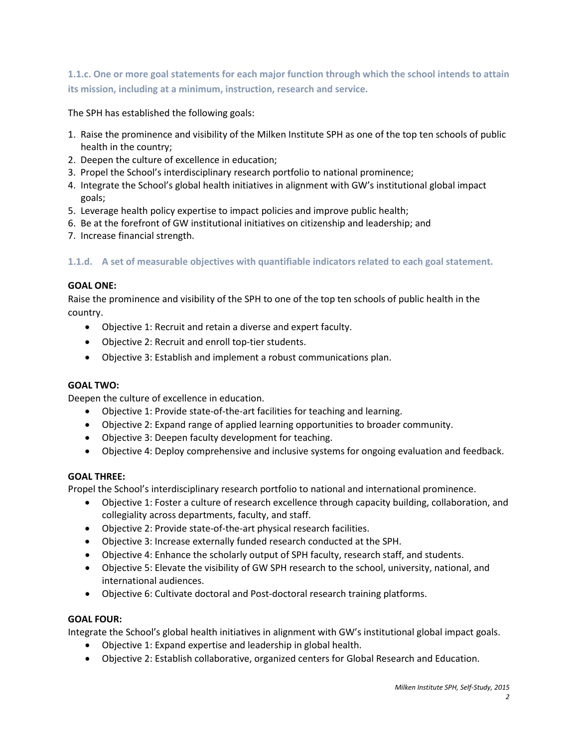**1.1.c. One or more goal statements for each major function through which the school intends to attain its mission, including at a minimum, instruction, research and service.**

The SPH has established the following goals:

- 1. Raise the prominence and visibility of the Milken Institute SPH as one of the top ten schools of public health in the country;
- 2. Deepen the culture of excellence in education;
- 3. Propel the School's interdisciplinary research portfolio to national prominence;
- 4. Integrate the School's global health initiatives in alignment with GW's institutional global impact goals;
- 5. Leverage health policy expertise to impact policies and improve public health;
- 6. Be at the forefront of GW institutional initiatives on citizenship and leadership; and
- 7. Increase financial strength.

**1.1.d. A set of measurable objectives with quantifiable indicators related to each goal statement.** 

#### **GOAL ONE:**

Raise the prominence and visibility of the SPH to one of the top ten schools of public health in the country.

- Objective 1: Recruit and retain a diverse and expert faculty.
- Objective 2: Recruit and enroll top-tier students.
- Objective 3: Establish and implement a robust communications plan.

#### **GOAL TWO:**

Deepen the culture of excellence in education.

- Objective 1: Provide state-of-the-art facilities for teaching and learning.
- Objective 2: Expand range of applied learning opportunities to broader community.
- Objective 3: Deepen faculty development for teaching.
- Objective 4: Deploy comprehensive and inclusive systems for ongoing evaluation and feedback.

#### **GOAL THREE:**

Propel the School's interdisciplinary research portfolio to national and international prominence.

- Objective 1: Foster a culture of research excellence through capacity building, collaboration, and collegiality across departments, faculty, and staff.
- Objective 2: Provide state-of-the-art physical research facilities.
- Objective 3: Increase externally funded research conducted at the SPH.
- Objective 4: Enhance the scholarly output of SPH faculty, research staff, and students.
- Objective 5: Elevate the visibility of GW SPH research to the school, university, national, and international audiences.
- Objective 6: Cultivate doctoral and Post-doctoral research training platforms.

#### **GOAL FOUR:**

Integrate the School's global health initiatives in alignment with GW's institutional global impact goals.

- Objective 1: Expand expertise and leadership in global health.
- Objective 2: Establish collaborative, organized centers for Global Research and Education.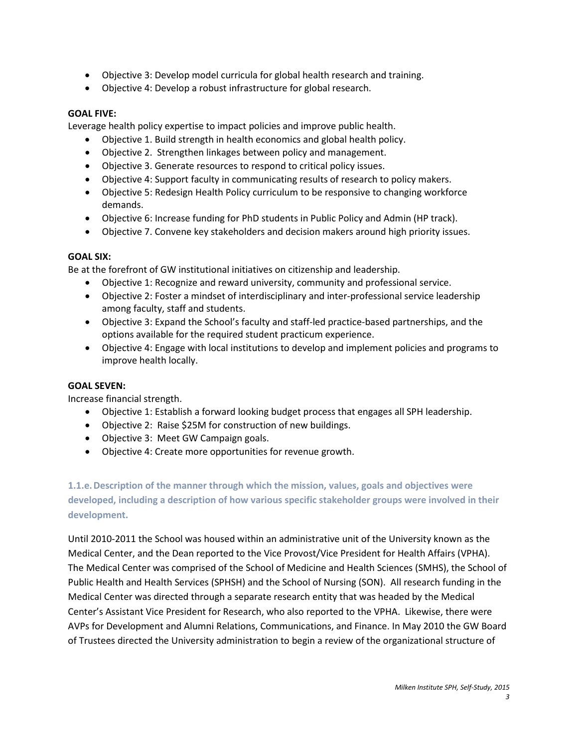- Objective 3: Develop model curricula for global health research and training.
- Objective 4: Develop a robust infrastructure for global research.

#### **GOAL FIVE:**

Leverage health policy expertise to impact policies and improve public health.

- Objective 1. Build strength in health economics and global health policy.
- Objective 2. Strengthen linkages between policy and management.
- Objective 3. Generate resources to respond to critical policy issues.
- Objective 4: Support faculty in communicating results of research to policy makers.
- Objective 5: Redesign Health Policy curriculum to be responsive to changing workforce demands.
- Objective 6: Increase funding for PhD students in Public Policy and Admin (HP track).
- Objective 7. Convene key stakeholders and decision makers around high priority issues.

#### **GOAL SIX:**

Be at the forefront of GW institutional initiatives on citizenship and leadership.

- Objective 1: Recognize and reward university, community and professional service.
- Objective 2: Foster a mindset of interdisciplinary and inter-professional service leadership among faculty, staff and students.
- Objective 3: Expand the School's faculty and staff-led practice-based partnerships, and the options available for the required student practicum experience.
- Objective 4: Engage with local institutions to develop and implement policies and programs to improve health locally.

#### **GOAL SEVEN:**

Increase financial strength.

- Objective 1: Establish a forward looking budget process that engages all SPH leadership.
- Objective 2: Raise \$25M for construction of new buildings.
- Objective 3: Meet GW Campaign goals.
- Objective 4: Create more opportunities for revenue growth.

**1.1.e.Description of the manner through which the mission, values, goals and objectives were developed, including a description of how various specific stakeholder groups were involved in their development.**

Until 2010-2011 the School was housed within an administrative unit of the University known as the Medical Center, and the Dean reported to the Vice Provost/Vice President for Health Affairs (VPHA). The Medical Center was comprised of the School of Medicine and Health Sciences (SMHS), the School of Public Health and Health Services (SPHSH) and the School of Nursing (SON). All research funding in the Medical Center was directed through a separate research entity that was headed by the Medical Center's Assistant Vice President for Research, who also reported to the VPHA. Likewise, there were AVPs for Development and Alumni Relations, Communications, and Finance. In May 2010 the GW Board of Trustees directed the University administration to begin a review of the organizational structure of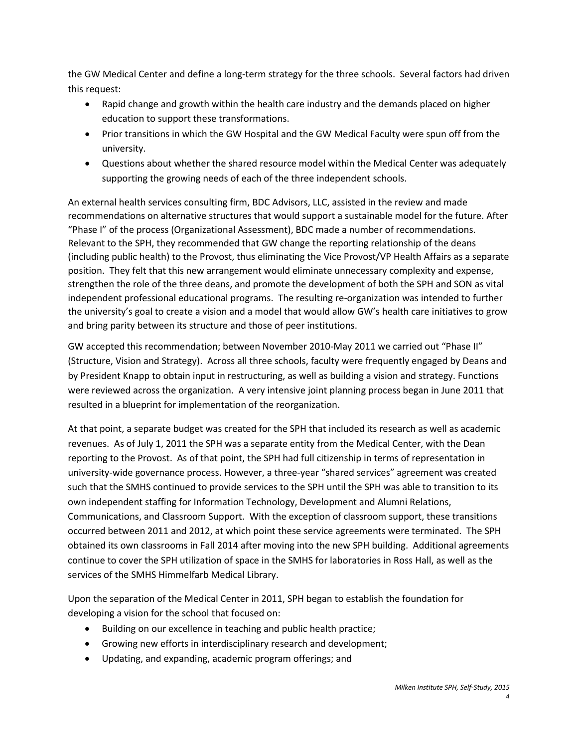the GW Medical Center and define a long-term strategy for the three schools. Several factors had driven this request:

- Rapid change and growth within the health care industry and the demands placed on higher education to support these transformations.
- Prior transitions in which the GW Hospital and the GW Medical Faculty were spun off from the university.
- Questions about whether the shared resource model within the Medical Center was adequately supporting the growing needs of each of the three independent schools.

An external health services consulting firm, BDC Advisors, LLC, assisted in the review and made recommendations on alternative structures that would support a sustainable model for the future. After "Phase I" of the process (Organizational Assessment), BDC made a number of recommendations. Relevant to the SPH, they recommended that GW change the reporting relationship of the deans (including public health) to the Provost, thus eliminating the Vice Provost/VP Health Affairs as a separate position. They felt that this new arrangement would eliminate unnecessary complexity and expense, strengthen the role of the three deans, and promote the development of both the SPH and SON as vital independent professional educational programs. The resulting re-organization was intended to further the university's goal to create a vision and a model that would allow GW's health care initiatives to grow and bring parity between its structure and those of peer institutions.

GW accepted this recommendation; between November 2010-May 2011 we carried out "Phase II" (Structure, Vision and Strategy). Across all three schools, faculty were frequently engaged by Deans and by President Knapp to obtain input in restructuring, as well as building a vision and strategy. Functions were reviewed across the organization. A very intensive joint planning process began in June 2011 that resulted in a blueprint for implementation of the reorganization.

At that point, a separate budget was created for the SPH that included its research as well as academic revenues. As of July 1, 2011 the SPH was a separate entity from the Medical Center, with the Dean reporting to the Provost. As of that point, the SPH had full citizenship in terms of representation in university-wide governance process. However, a three-year "shared services" agreement was created such that the SMHS continued to provide services to the SPH until the SPH was able to transition to its own independent staffing for Information Technology, Development and Alumni Relations, Communications, and Classroom Support. With the exception of classroom support, these transitions occurred between 2011 and 2012, at which point these service agreements were terminated. The SPH obtained its own classrooms in Fall 2014 after moving into the new SPH building. Additional agreements continue to cover the SPH utilization of space in the SMHS for laboratories in Ross Hall, as well as the services of the SMHS Himmelfarb Medical Library.

Upon the separation of the Medical Center in 2011, SPH began to establish the foundation for developing a vision for the school that focused on:

- Building on our excellence in teaching and public health practice;
- Growing new efforts in interdisciplinary research and development;
- Updating, and expanding, academic program offerings; and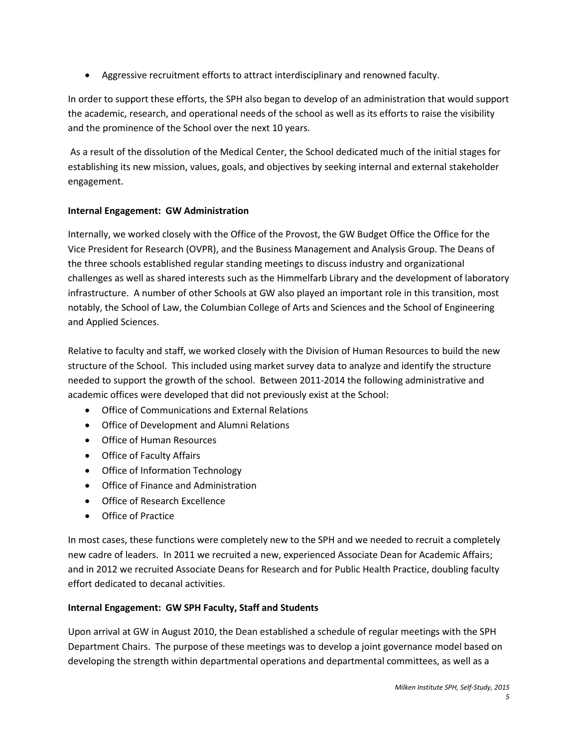• Aggressive recruitment efforts to attract interdisciplinary and renowned faculty.

In order to support these efforts, the SPH also began to develop of an administration that would support the academic, research, and operational needs of the school as well as its efforts to raise the visibility and the prominence of the School over the next 10 years.

As a result of the dissolution of the Medical Center, the School dedicated much of the initial stages for establishing its new mission, values, goals, and objectives by seeking internal and external stakeholder engagement.

## **Internal Engagement: GW Administration**

Internally, we worked closely with the Office of the Provost, the GW Budget Office the Office for the Vice President for Research (OVPR), and the Business Management and Analysis Group. The Deans of the three schools established regular standing meetings to discuss industry and organizational challenges as well as shared interests such as the Himmelfarb Library and the development of laboratory infrastructure. A number of other Schools at GW also played an important role in this transition, most notably, the School of Law, the Columbian College of Arts and Sciences and the School of Engineering and Applied Sciences.

Relative to faculty and staff, we worked closely with the Division of Human Resources to build the new structure of the School. This included using market survey data to analyze and identify the structure needed to support the growth of the school. Between 2011-2014 the following administrative and academic offices were developed that did not previously exist at the School:

- Office of Communications and External Relations
- Office of Development and Alumni Relations
- Office of Human Resources
- Office of Faculty Affairs
- Office of Information Technology
- Office of Finance and Administration
- Office of Research Excellence
- Office of Practice

In most cases, these functions were completely new to the SPH and we needed to recruit a completely new cadre of leaders. In 2011 we recruited a new, experienced Associate Dean for Academic Affairs; and in 2012 we recruited Associate Deans for Research and for Public Health Practice, doubling faculty effort dedicated to decanal activities.

## **Internal Engagement: GW SPH Faculty, Staff and Students**

Upon arrival at GW in August 2010, the Dean established a schedule of regular meetings with the SPH Department Chairs. The purpose of these meetings was to develop a joint governance model based on developing the strength within departmental operations and departmental committees, as well as a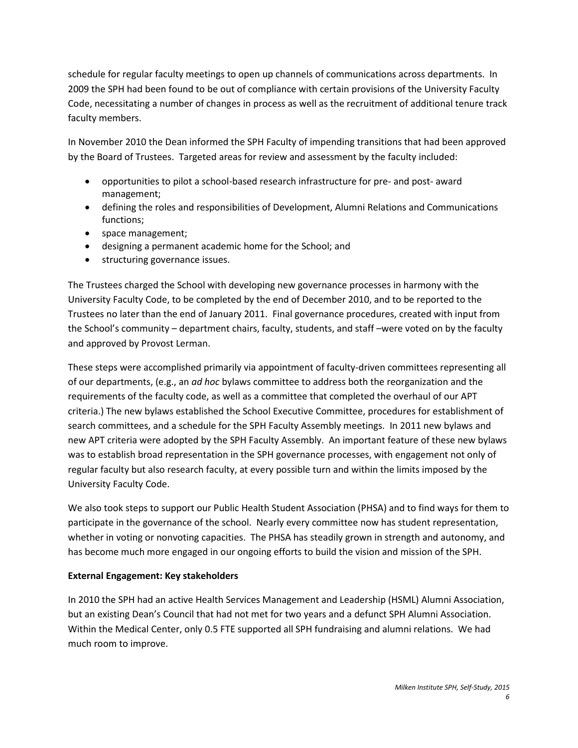schedule for regular faculty meetings to open up channels of communications across departments. In 2009 the SPH had been found to be out of compliance with certain provisions of the University Faculty Code, necessitating a number of changes in process as well as the recruitment of additional tenure track faculty members.

In November 2010 the Dean informed the SPH Faculty of impending transitions that had been approved by the Board of Trustees. Targeted areas for review and assessment by the faculty included:

- opportunities to pilot a school-based research infrastructure for pre- and post- award management;
- defining the roles and responsibilities of Development, Alumni Relations and Communications functions;
- space management;
- designing a permanent academic home for the School; and
- structuring governance issues.

The Trustees charged the School with developing new governance processes in harmony with the University Faculty Code, to be completed by the end of December 2010, and to be reported to the Trustees no later than the end of January 2011. Final governance procedures, created with input from the School's community – department chairs, faculty, students, and staff –were voted on by the faculty and approved by Provost Lerman.

These steps were accomplished primarily via appointment of faculty-driven committees representing all of our departments, (e.g., an *ad hoc* bylaws committee to address both the reorganization and the requirements of the faculty code, as well as a committee that completed the overhaul of our APT criteria.) The new bylaws established the School Executive Committee, procedures for establishment of search committees, and a schedule for the SPH Faculty Assembly meetings. In 2011 new bylaws and new APT criteria were adopted by the SPH Faculty Assembly. An important feature of these new bylaws was to establish broad representation in the SPH governance processes, with engagement not only of regular faculty but also research faculty, at every possible turn and within the limits imposed by the University Faculty Code.

We also took steps to support our Public Health Student Association (PHSA) and to find ways for them to participate in the governance of the school. Nearly every committee now has student representation, whether in voting or nonvoting capacities. The PHSA has steadily grown in strength and autonomy, and has become much more engaged in our ongoing efforts to build the vision and mission of the SPH.

## **External Engagement: Key stakeholders**

In 2010 the SPH had an active Health Services Management and Leadership (HSML) Alumni Association, but an existing Dean's Council that had not met for two years and a defunct SPH Alumni Association. Within the Medical Center, only 0.5 FTE supported all SPH fundraising and alumni relations. We had much room to improve.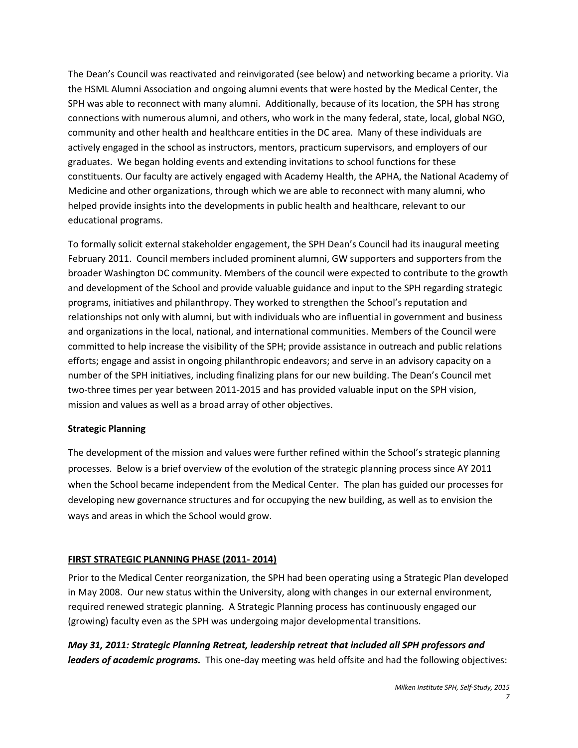The Dean's Council was reactivated and reinvigorated (see below) and networking became a priority. Via the HSML Alumni Association and ongoing alumni events that were hosted by the Medical Center, the SPH was able to reconnect with many alumni. Additionally, because of its location, the SPH has strong connections with numerous alumni, and others, who work in the many federal, state, local, global NGO, community and other health and healthcare entities in the DC area. Many of these individuals are actively engaged in the school as instructors, mentors, practicum supervisors, and employers of our graduates. We began holding events and extending invitations to school functions for these constituents. Our faculty are actively engaged with Academy Health, the APHA, the National Academy of Medicine and other organizations, through which we are able to reconnect with many alumni, who helped provide insights into the developments in public health and healthcare, relevant to our educational programs.

To formally solicit external stakeholder engagement, the SPH Dean's Council had its inaugural meeting February 2011. Council members included prominent alumni, GW supporters and supporters from the broader Washington DC community. Members of the council were expected to contribute to the growth and development of the School and provide valuable guidance and input to the SPH regarding strategic programs, initiatives and philanthropy. They worked to strengthen the School's reputation and relationships not only with alumni, but with individuals who are influential in government and business and organizations in the local, national, and international communities. Members of the Council were committed to help increase the visibility of the SPH; provide assistance in outreach and public relations efforts; engage and assist in ongoing philanthropic endeavors; and serve in an advisory capacity on a number of the SPH initiatives, including finalizing plans for our new building. The Dean's Council met two-three times per year between 2011-2015 and has provided valuable input on the SPH vision, mission and values as well as a broad array of other objectives.

## **Strategic Planning**

The development of the mission and values were further refined within the School's strategic planning processes. Below is a brief overview of the evolution of the strategic planning process since AY 2011 when the School became independent from the Medical Center. The plan has guided our processes for developing new governance structures and for occupying the new building, as well as to envision the ways and areas in which the School would grow.

## **FIRST STRATEGIC PLANNING PHASE (2011- 2014)**

Prior to the Medical Center reorganization, the SPH had been operating using a Strategic Plan developed in May 2008. Our new status within the University, along with changes in our external environment, required renewed strategic planning. A Strategic Planning process has continuously engaged our (growing) faculty even as the SPH was undergoing major developmental transitions.

*May 31, 2011: Strategic Planning Retreat, leadership retreat that included all SPH professors and leaders of academic programs.* This one-day meeting was held offsite and had the following objectives: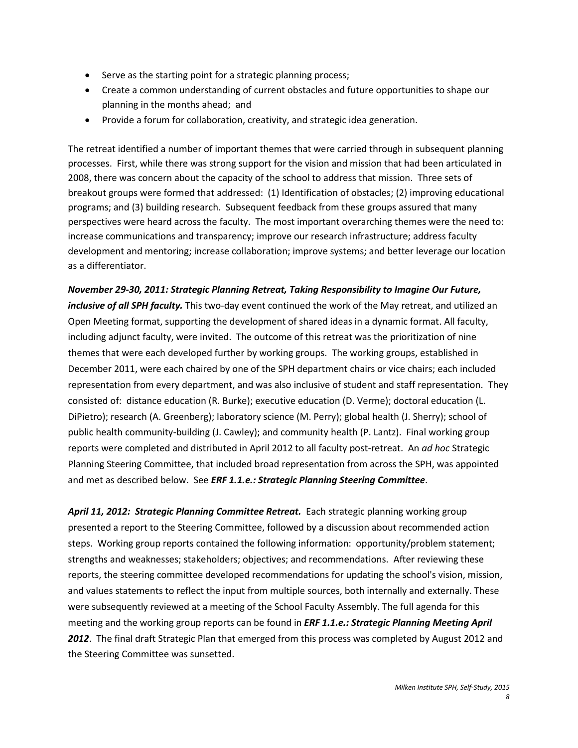- Serve as the starting point for a strategic planning process;
- Create a common understanding of current obstacles and future opportunities to shape our planning in the months ahead; and
- Provide a forum for collaboration, creativity, and strategic idea generation.

The retreat identified a number of important themes that were carried through in subsequent planning processes. First, while there was strong support for the vision and mission that had been articulated in 2008, there was concern about the capacity of the school to address that mission. Three sets of breakout groups were formed that addressed: (1) Identification of obstacles; (2) improving educational programs; and (3) building research. Subsequent feedback from these groups assured that many perspectives were heard across the faculty. The most important overarching themes were the need to: increase communications and transparency; improve our research infrastructure; address faculty development and mentoring; increase collaboration; improve systems; and better leverage our location as a differentiator.

*November 29-30, 2011: Strategic Planning Retreat, Taking Responsibility to Imagine Our Future, inclusive of all SPH faculty.* This two-day event continued the work of the May retreat, and utilized an Open Meeting format, supporting the development of shared ideas in a dynamic format. All faculty, including adjunct faculty, were invited. The outcome of this retreat was the prioritization of nine themes that were each developed further by working groups. The working groups, established in December 2011, were each chaired by one of the SPH department chairs or vice chairs; each included representation from every department, and was also inclusive of student and staff representation. They consisted of: distance education (R. Burke); executive education (D. Verme); doctoral education (L. DiPietro); research (A. Greenberg); laboratory science (M. Perry); global health (J. Sherry); school of public health community-building (J. Cawley); and community health (P. Lantz). Final working group reports were completed and distributed in April 2012 to all faculty post-retreat. An *ad hoc* Strategic Planning Steering Committee, that included broad representation from across the SPH, was appointed and met as described below. See *ERF 1.1.e.: Strategic Planning Steering Committee*.

*April 11, 2012: Strategic Planning Committee Retreat.* Each strategic planning working group presented a report to the Steering Committee, followed by a discussion about recommended action steps. Working group reports contained the following information: opportunity/problem statement; strengths and weaknesses; stakeholders; objectives; and recommendations. After reviewing these reports, the steering committee developed recommendations for updating the school's vision, mission, and values statements to reflect the input from multiple sources, both internally and externally. These were subsequently reviewed at a meeting of the School Faculty Assembly. The full agenda for this meeting and the working group reports can be found in *ERF 1.1.e.: Strategic Planning Meeting April 2012*. The final draft Strategic Plan that emerged from this process was completed by August 2012 and the Steering Committee was sunsetted.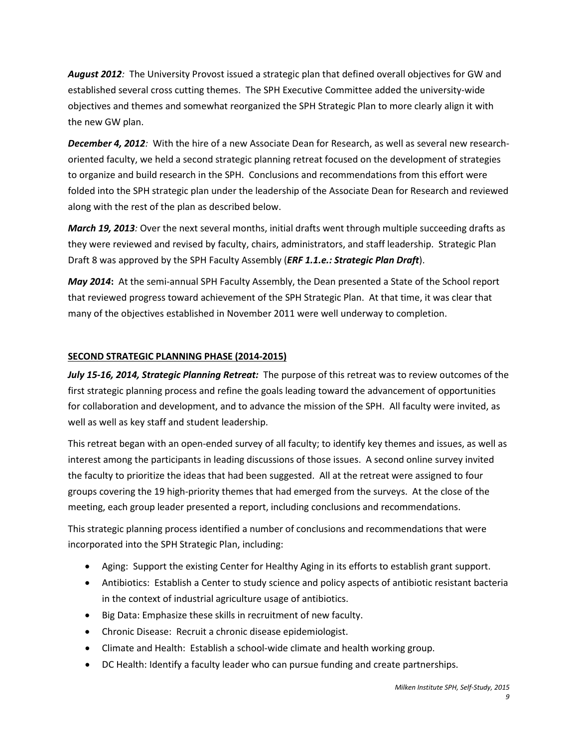*August 2012:* The University Provost issued a strategic plan that defined overall objectives for GW and established several cross cutting themes. The SPH Executive Committee added the university-wide objectives and themes and somewhat reorganized the SPH Strategic Plan to more clearly align it with the new GW plan.

*December 4, 2012:* With the hire of a new Associate Dean for Research, as well as several new researchoriented faculty, we held a second strategic planning retreat focused on the development of strategies to organize and build research in the SPH. Conclusions and recommendations from this effort were folded into the SPH strategic plan under the leadership of the Associate Dean for Research and reviewed along with the rest of the plan as described below.

*March 19, 2013:* Over the next several months, initial drafts went through multiple succeeding drafts as they were reviewed and revised by faculty, chairs, administrators, and staff leadership. Strategic Plan Draft 8 was approved by the SPH Faculty Assembly (*ERF 1.1.e.: Strategic Plan Draft*).

*May 2014***:** At the semi-annual SPH Faculty Assembly, the Dean presented a State of the School report that reviewed progress toward achievement of the SPH Strategic Plan. At that time, it was clear that many of the objectives established in November 2011 were well underway to completion.

#### **SECOND STRATEGIC PLANNING PHASE (2014-2015)**

*July 15-16, 2014, Strategic Planning Retreat:* The purpose of this retreat was to review outcomes of the first strategic planning process and refine the goals leading toward the advancement of opportunities for collaboration and development, and to advance the mission of the SPH. All faculty were invited, as well as well as key staff and student leadership.

This retreat began with an open-ended survey of all faculty; to identify key themes and issues, as well as interest among the participants in leading discussions of those issues. A second online survey invited the faculty to prioritize the ideas that had been suggested. All at the retreat were assigned to four groups covering the 19 high-priority themes that had emerged from the surveys. At the close of the meeting, each group leader presented a report, including conclusions and recommendations.

This strategic planning process identified a number of conclusions and recommendations that were incorporated into the SPH Strategic Plan, including:

- Aging: Support the existing Center for Healthy Aging in its efforts to establish grant support.
- Antibiotics: Establish a Center to study science and policy aspects of antibiotic resistant bacteria in the context of industrial agriculture usage of antibiotics.
- Big Data: Emphasize these skills in recruitment of new faculty.
- Chronic Disease: Recruit a chronic disease epidemiologist.
- Climate and Health: Establish a school-wide climate and health working group.
- DC Health: Identify a faculty leader who can pursue funding and create partnerships.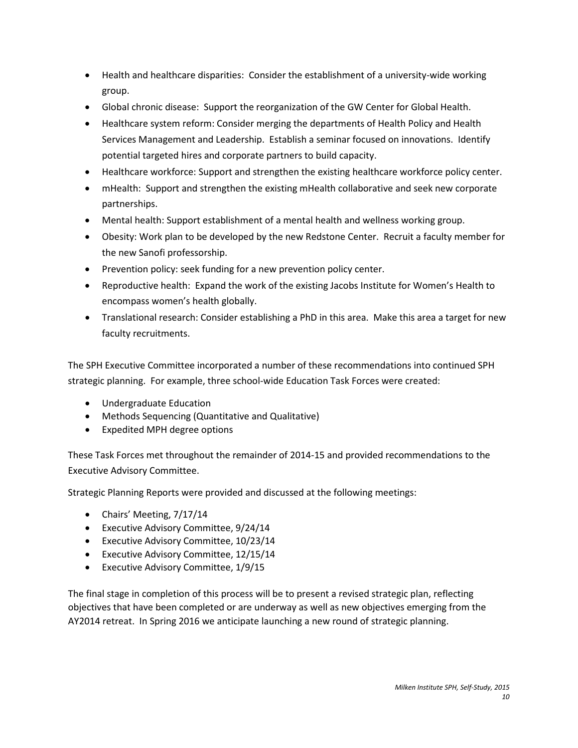- Health and healthcare disparities: Consider the establishment of a university-wide working group.
- Global chronic disease: Support the reorganization of the GW Center for Global Health.
- Healthcare system reform: Consider merging the departments of Health Policy and Health Services Management and Leadership. Establish a seminar focused on innovations. Identify potential targeted hires and corporate partners to build capacity.
- Healthcare workforce: Support and strengthen the existing healthcare workforce policy center.
- mHealth: Support and strengthen the existing mHealth collaborative and seek new corporate partnerships.
- Mental health: Support establishment of a mental health and wellness working group.
- Obesity: Work plan to be developed by the new Redstone Center. Recruit a faculty member for the new Sanofi professorship.
- Prevention policy: seek funding for a new prevention policy center.
- Reproductive health: Expand the work of the existing Jacobs Institute for Women's Health to encompass women's health globally.
- Translational research: Consider establishing a PhD in this area. Make this area a target for new faculty recruitments.

The SPH Executive Committee incorporated a number of these recommendations into continued SPH strategic planning. For example, three school-wide Education Task Forces were created:

- Undergraduate Education
- Methods Sequencing (Quantitative and Qualitative)
- Expedited MPH degree options

These Task Forces met throughout the remainder of 2014-15 and provided recommendations to the Executive Advisory Committee.

Strategic Planning Reports were provided and discussed at the following meetings:

- Chairs' Meeting, 7/17/14
- Executive Advisory Committee, 9/24/14
- Executive Advisory Committee, 10/23/14
- Executive Advisory Committee, 12/15/14
- Executive Advisory Committee, 1/9/15

The final stage in completion of this process will be to present a revised strategic plan, reflecting objectives that have been completed or are underway as well as new objectives emerging from the AY2014 retreat. In Spring 2016 we anticipate launching a new round of strategic planning.